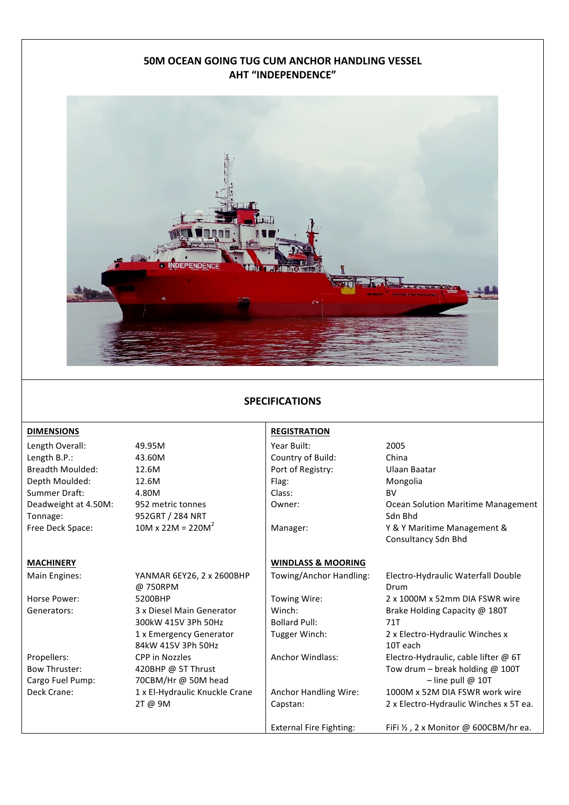# **50M OCEAN GOING TUG CUM ANCHOR HANDLING VESSEL AHT "INDEPENDENCE"**



## **SPECIFICATIONS**

### **DIMENSIONS REGISTRATION**

Length Overall:  $49.95M$  Year Built: 2005 Length B.P.: 43.60M Country of Build: China Breadth Moulded: 12.6M **Port** of Registry: Ulaan Baatar Depth Moulded: 12.6M Flag: Flag: Mongolia Summer Draft: A 4.80M Class: BV Deadweight at 4.50M: Tonnage:

Main Engines: YANMAR 6EY26, 2 x 2600BHP @ 750RPM Horse Power: 6200BHP Towing Wire: 2 x 1000M x 52mm DIA FSWR wire Generators: 3 x Diesel Main Generator 300kW 415V 3Ph 50Hz 1 x Emergency Generator 84kW 415V 3Ph 50Hz Propellers: Bow Thruster: CPP in Nozzles 420BHP @ 5T Thrust Cargo Fuel Pump: 70CBM/Hr @ 50M head  $\vert$  and the state of the pull @ 10T Deck Crane: 1 x El-Hydraulic Knuckle Crane 2T @ 9M

952 metric tonnes 952GRT / 284 NRT

## **MACHINERY WINDLASS & MOORING**

Winch: Bollard Pull:

Anchor Handling Wire: Capstan:

Owner: Common Common Solution Maritime Management Sdn Bhd Free Deck Space:  $10M \times 22M = 220M^2$  Manager: Y & Y Maritime Management & Consultancy Sdn Bhd Towing/Anchor Handling: Electro-Hydraulic Waterfall Double Drum

> Brake Holding Capacity @ 180T 71T Tugger Winch: 2 x Electro-Hydraulic Winches x 10T each Anchor Windlass: Electro-Hydraulic, cable lifter @ 6T Tow drum – break holding  $@$  100T 1000M x 52M DIA FSWR work wire 2 x Electro-Hydraulic Winches x 5T ea.

External Fire Fighting: FiFi  $\frac{1}{2}$ , 2 x Monitor @ 600CBM/hr ea.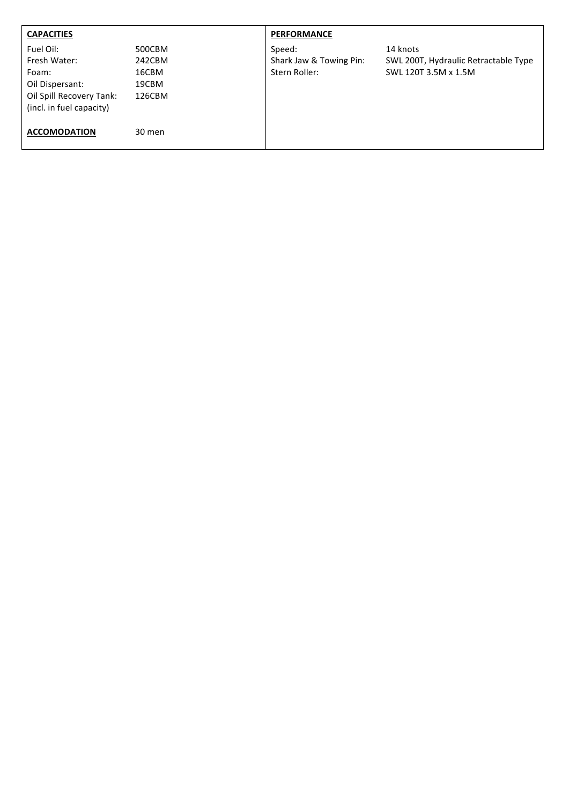| <b>CAPACITIES</b>                                                                                             |                                              | <b>PERFORMANCE</b>                                 |                                                                          |
|---------------------------------------------------------------------------------------------------------------|----------------------------------------------|----------------------------------------------------|--------------------------------------------------------------------------|
| Fuel Oil:<br>Fresh Water:<br>Foam:<br>Oil Dispersant:<br>Oil Spill Recovery Tank:<br>(incl. in fuel capacity) | 500CBM<br>242CBM<br>16CBM<br>19CBM<br>126CBM | Speed:<br>Shark Jaw & Towing Pin:<br>Stern Roller: | 14 knots<br>SWL 200T, Hydraulic Retractable Type<br>SWL 120T 3.5M x 1.5M |
| <b>ACCOMODATION</b>                                                                                           | 30 men                                       |                                                    |                                                                          |